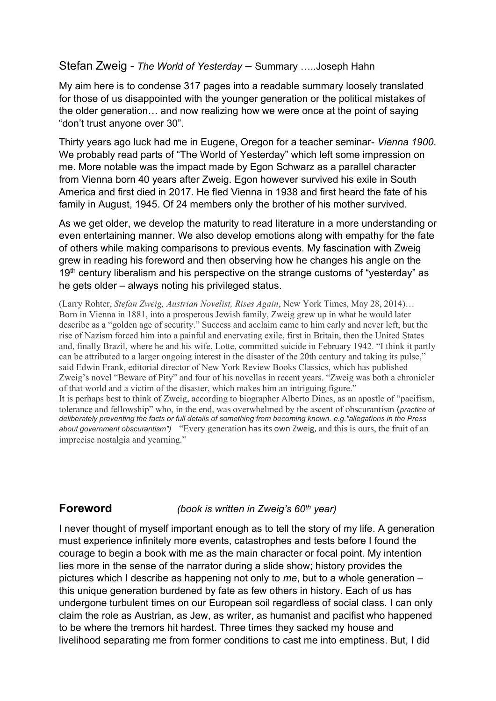## Stefan Zweig - *The World of Yesterday* – Summary …..Joseph Hahn

My aim here is to condense 317 pages into a readable summary loosely translated for those of us disappointed with the younger generation or the political mistakes of the older generation… and now realizing how we were once at the point of saying "don't trust anyone over 30".

Thirty years ago luck had me in Eugene, Oregon for a teacher seminar- *Vienna 1900*. We probably read parts of "The World of Yesterday" which left some impression on me. More notable was the impact made by Egon Schwarz as a parallel character from Vienna born 40 years after Zweig. Egon however survived his exile in South America and first died in 2017. He fled Vienna in 1938 and first heard the fate of his family in August, 1945. Of 24 members only the brother of his mother survived.

As we get older, we develop the maturity to read literature in a more understanding or even entertaining manner. We also develop emotions along with empathy for the fate of others while making comparisons to previous events. My fascination with Zweig grew in reading his foreword and then observing how he changes his angle on the  $19<sup>th</sup>$  century liberalism and his perspective on the strange customs of "yesterday" as he gets older – always noting his privileged status.

(Larry Rohter, *Stefan Zweig, Austrian Novelist, Rises Again*, New York Times, May 28, 2014)… Born in Vienna in 1881, into a prosperous Jewish family, Zweig grew up in what he would later describe as a "golden age of security." Success and acclaim came to him early and never left, but the rise of Nazism forced him into a painful and enervating exile, first in Britain, then the United States and, finally Brazil, where he and his wife, Lotte, committed suicide in February 1942. "I think it partly can be attributed to a larger ongoing interest in the disaster of the 20th century and taking its pulse," said Edwin Frank, editorial director of New York Review Books Classics, which has published Zweig's novel "Beware of Pity" and four of his novellas in recent years. "Zweig was both a chronicler of that world and a victim of the disaster, which makes him an intriguing figure." It is perhaps best to think of Zweig, according to biographer Alberto Dines, as an apostle of "pacifism, tolerance and fellowship" who, in the end, was overwhelmed by the ascent of obscurantism (*practice of deliberately preventing the facts or full details of something from becoming known. e.g."allegations in the Press about government obscurantism")* "Every generation has its own Zweig, and this is ours, the fruit of an imprecise nostalgia and yearning."

**Foreword** *(book is written in Zweig's 60th year)*

I never thought of myself important enough as to tell the story of my life. A generation must experience infinitely more events, catastrophes and tests before I found the courage to begin a book with me as the main character or focal point. My intention lies more in the sense of the narrator during a slide show; history provides the pictures which I describe as happening not only to *me*, but to a whole generation – this unique generation burdened by fate as few others in history. Each of us has undergone turbulent times on our European soil regardless of social class. I can only claim the role as Austrian, as Jew, as writer, as humanist and pacifist who happened to be where the tremors hit hardest. Three times they sacked my house and livelihood separating me from former conditions to cast me into emptiness. But, I did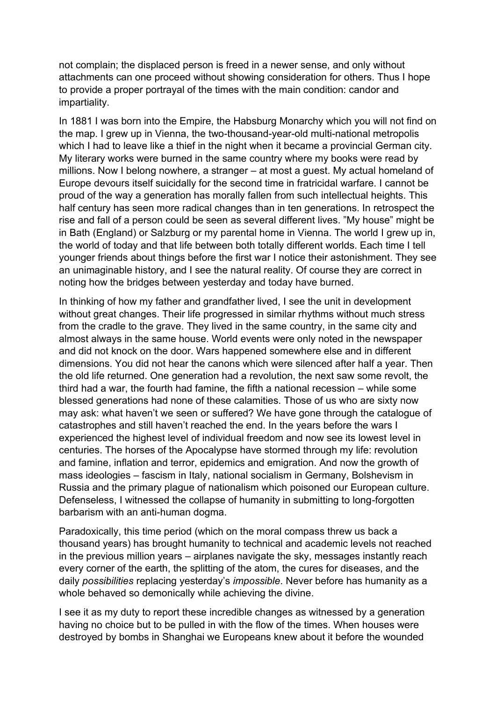not complain; the displaced person is freed in a newer sense, and only without attachments can one proceed without showing consideration for others. Thus I hope to provide a proper portrayal of the times with the main condition: candor and impartiality.

In 1881 I was born into the Empire, the Habsburg Monarchy which you will not find on the map. I grew up in Vienna, the two-thousand-year-old multi-national metropolis which I had to leave like a thief in the night when it became a provincial German city. My literary works were burned in the same country where my books were read by millions. Now I belong nowhere, a stranger – at most a guest. My actual homeland of Europe devours itself suicidally for the second time in fratricidal warfare. I cannot be proud of the way a generation has morally fallen from such intellectual heights. This half century has seen more radical changes than in ten generations. In retrospect the rise and fall of a person could be seen as several different lives. "My house" might be in Bath (England) or Salzburg or my parental home in Vienna. The world I grew up in, the world of today and that life between both totally different worlds. Each time I tell younger friends about things before the first war I notice their astonishment. They see an unimaginable history, and I see the natural reality. Of course they are correct in noting how the bridges between yesterday and today have burned.

In thinking of how my father and grandfather lived, I see the unit in development without great changes. Their life progressed in similar rhythms without much stress from the cradle to the grave. They lived in the same country, in the same city and almost always in the same house. World events were only noted in the newspaper and did not knock on the door. Wars happened somewhere else and in different dimensions. You did not hear the canons which were silenced after half a year. Then the old life returned. One generation had a revolution, the next saw some revolt, the third had a war, the fourth had famine, the fifth a national recession – while some blessed generations had none of these calamities. Those of us who are sixty now may ask: what haven't we seen or suffered? We have gone through the catalogue of catastrophes and still haven't reached the end. In the years before the wars I experienced the highest level of individual freedom and now see its lowest level in centuries. The horses of the Apocalypse have stormed through my life: revolution and famine, inflation and terror, epidemics and emigration. And now the growth of mass ideologies – fascism in Italy, national socialism in Germany, Bolshevism in Russia and the primary plague of nationalism which poisoned our European culture. Defenseless, I witnessed the collapse of humanity in submitting to long-forgotten barbarism with an anti-human dogma.

Paradoxically, this time period (which on the moral compass threw us back a thousand years) has brought humanity to technical and academic levels not reached in the previous million years – airplanes navigate the sky, messages instantly reach every corner of the earth, the splitting of the atom, the cures for diseases, and the daily *possibilities* replacing yesterday's *impossible*. Never before has humanity as a whole behaved so demonically while achieving the divine.

I see it as my duty to report these incredible changes as witnessed by a generation having no choice but to be pulled in with the flow of the times. When houses were destroyed by bombs in Shanghai we Europeans knew about it before the wounded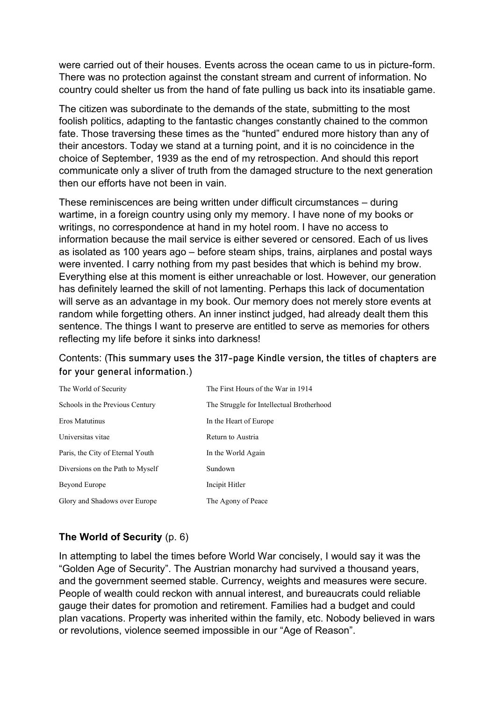were carried out of their houses. Events across the ocean came to us in picture-form. There was no protection against the constant stream and current of information. No country could shelter us from the hand of fate pulling us back into its insatiable game.

The citizen was subordinate to the demands of the state, submitting to the most foolish politics, adapting to the fantastic changes constantly chained to the common fate. Those traversing these times as the "hunted" endured more history than any of their ancestors. Today we stand at a turning point, and it is no coincidence in the choice of September, 1939 as the end of my retrospection. And should this report communicate only a sliver of truth from the damaged structure to the next generation then our efforts have not been in vain.

These reminiscences are being written under difficult circumstances – during wartime, in a foreign country using only my memory. I have none of my books or writings, no correspondence at hand in my hotel room. I have no access to information because the mail service is either severed or censored. Each of us lives as isolated as 100 years ago – before steam ships, trains, airplanes and postal ways were invented. I carry nothing from my past besides that which is behind my brow. Everything else at this moment is either unreachable or lost. However, our generation has definitely learned the skill of not lamenting. Perhaps this lack of documentation will serve as an advantage in my book. Our memory does not merely store events at random while forgetting others. An inner instinct judged, had already dealt them this sentence. The things I want to preserve are entitled to serve as memories for others reflecting my life before it sinks into darkness!

# Contents: (**This summary uses the 317-page Kindle version, the titles of chapters are for your general information**.)

| The World of Security            | The First Hours of the War in 1914        |
|----------------------------------|-------------------------------------------|
| Schools in the Previous Century  | The Struggle for Intellectual Brotherhood |
| Eros Matutinus                   | In the Heart of Europe                    |
| Universitas vitae                | Return to Austria                         |
| Paris, the City of Eternal Youth | In the World Again                        |
| Diversions on the Path to Myself | Sundown                                   |
| Beyond Europe                    | Incipit Hitler                            |
| Glory and Shadows over Europe    | The Agony of Peace                        |

# **The World of Security** (p. 6)

In attempting to label the times before World War concisely, I would say it was the "Golden Age of Security". The Austrian monarchy had survived a thousand years, and the government seemed stable. Currency, weights and measures were secure. People of wealth could reckon with annual interest, and bureaucrats could reliable gauge their dates for promotion and retirement. Families had a budget and could plan vacations. Property was inherited within the family, etc. Nobody believed in wars or revolutions, violence seemed impossible in our "Age of Reason".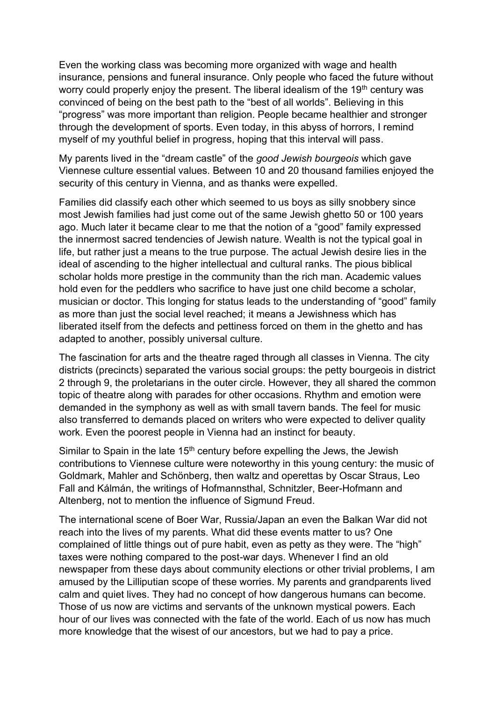Even the working class was becoming more organized with wage and health insurance, pensions and funeral insurance. Only people who faced the future without worry could properly enjoy the present. The liberal idealism of the 19<sup>th</sup> century was convinced of being on the best path to the "best of all worlds". Believing in this "progress" was more important than religion. People became healthier and stronger through the development of sports. Even today, in this abyss of horrors, I remind myself of my youthful belief in progress, hoping that this interval will pass.

My parents lived in the "dream castle" of the *good Jewish bourgeois* which gave Viennese culture essential values. Between 10 and 20 thousand families enjoyed the security of this century in Vienna, and as thanks were expelled.

Families did classify each other which seemed to us boys as silly snobbery since most Jewish families had just come out of the same Jewish ghetto 50 or 100 years ago. Much later it became clear to me that the notion of a "good" family expressed the innermost sacred tendencies of Jewish nature. Wealth is not the typical goal in life, but rather just a means to the true purpose. The actual Jewish desire lies in the ideal of ascending to the higher intellectual and cultural ranks. The pious biblical scholar holds more prestige in the community than the rich man. Academic values hold even for the peddlers who sacrifice to have just one child become a scholar. musician or doctor. This longing for status leads to the understanding of "good" family as more than just the social level reached; it means a Jewishness which has liberated itself from the defects and pettiness forced on them in the ghetto and has adapted to another, possibly universal culture.

The fascination for arts and the theatre raged through all classes in Vienna. The city districts (precincts) separated the various social groups: the petty bourgeois in district 2 through 9, the proletarians in the outer circle. However, they all shared the common topic of theatre along with parades for other occasions. Rhythm and emotion were demanded in the symphony as well as with small tavern bands. The feel for music also transferred to demands placed on writers who were expected to deliver quality work. Even the poorest people in Vienna had an instinct for beauty.

Similar to Spain in the late  $15<sup>th</sup>$  century before expelling the Jews, the Jewish contributions to Viennese culture were noteworthy in this young century: the music of Goldmark, Mahler and Schönberg, then waltz and operettas by Oscar Straus, Leo Fall and Kálmán, the writings of Hofmannsthal, Schnitzler, Beer-Hofmann and Altenberg, not to mention the influence of Sigmund Freud.

The international scene of Boer War, Russia/Japan an even the Balkan War did not reach into the lives of my parents. What did these events matter to us? One complained of little things out of pure habit, even as petty as they were. The "high" taxes were nothing compared to the post-war days. Whenever I find an old newspaper from these days about community elections or other trivial problems, I am amused by the Lilliputian scope of these worries. My parents and grandparents lived calm and quiet lives. They had no concept of how dangerous humans can become. Those of us now are victims and servants of the unknown mystical powers. Each hour of our lives was connected with the fate of the world. Each of us now has much more knowledge that the wisest of our ancestors, but we had to pay a price.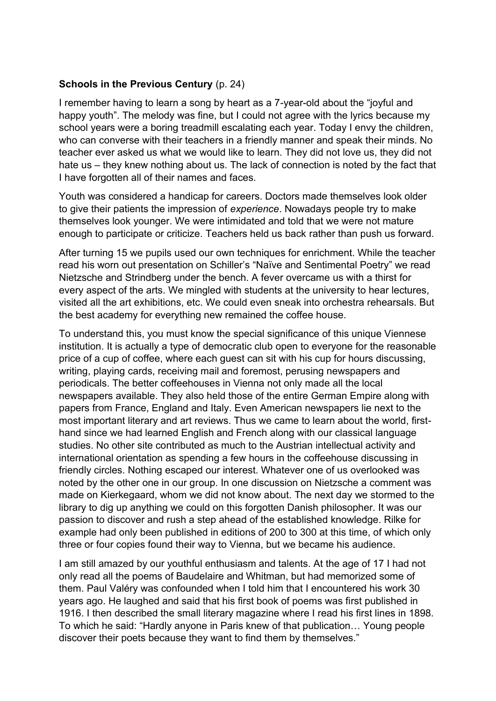#### **Schools in the Previous Century** (p. 24)

I remember having to learn a song by heart as a 7-year-old about the "joyful and happy youth". The melody was fine, but I could not agree with the lyrics because my school years were a boring treadmill escalating each year. Today I envy the children, who can converse with their teachers in a friendly manner and speak their minds. No teacher ever asked us what we would like to learn. They did not love us, they did not hate us – they knew nothing about us. The lack of connection is noted by the fact that I have forgotten all of their names and faces.

Youth was considered a handicap for careers. Doctors made themselves look older to give their patients the impression of *experience*. Nowadays people try to make themselves look younger. We were intimidated and told that we were not mature enough to participate or criticize. Teachers held us back rather than push us forward.

After turning 15 we pupils used our own techniques for enrichment. While the teacher read his worn out presentation on Schiller's "Naïve and Sentimental Poetry" we read Nietzsche and Strindberg under the bench. A fever overcame us with a thirst for every aspect of the arts. We mingled with students at the university to hear lectures, visited all the art exhibitions, etc. We could even sneak into orchestra rehearsals. But the best academy for everything new remained the coffee house.

To understand this, you must know the special significance of this unique Viennese institution. It is actually a type of democratic club open to everyone for the reasonable price of a cup of coffee, where each guest can sit with his cup for hours discussing, writing, playing cards, receiving mail and foremost, perusing newspapers and periodicals. The better coffeehouses in Vienna not only made all the local newspapers available. They also held those of the entire German Empire along with papers from France, England and Italy. Even American newspapers lie next to the most important literary and art reviews. Thus we came to learn about the world, firsthand since we had learned English and French along with our classical language studies. No other site contributed as much to the Austrian intellectual activity and international orientation as spending a few hours in the coffeehouse discussing in friendly circles. Nothing escaped our interest. Whatever one of us overlooked was noted by the other one in our group. In one discussion on Nietzsche a comment was made on Kierkegaard, whom we did not know about. The next day we stormed to the library to dig up anything we could on this forgotten Danish philosopher. It was our passion to discover and rush a step ahead of the established knowledge. Rilke for example had only been published in editions of 200 to 300 at this time, of which only three or four copies found their way to Vienna, but we became his audience.

I am still amazed by our youthful enthusiasm and talents. At the age of 17 I had not only read all the poems of Baudelaire and Whitman, but had memorized some of them. Paul Valéry was confounded when I told him that I encountered his work 30 years ago. He laughed and said that his first book of poems was first published in 1916. I then described the small literary magazine where I read his first lines in 1898. To which he said: "Hardly anyone in Paris knew of that publication… Young people discover their poets because they want to find them by themselves."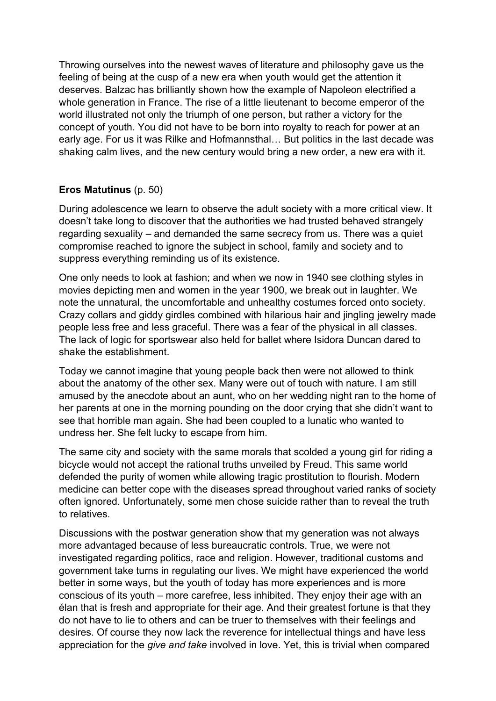Throwing ourselves into the newest waves of literature and philosophy gave us the feeling of being at the cusp of a new era when youth would get the attention it deserves. Balzac has brilliantly shown how the example of Napoleon electrified a whole generation in France. The rise of a little lieutenant to become emperor of the world illustrated not only the triumph of one person, but rather a victory for the concept of youth. You did not have to be born into royalty to reach for power at an early age. For us it was Rilke and Hofmannsthal… But politics in the last decade was shaking calm lives, and the new century would bring a new order, a new era with it.

## **Eros Matutinus** (p. 50)

During adolescence we learn to observe the adult society with a more critical view. It doesn't take long to discover that the authorities we had trusted behaved strangely regarding sexuality – and demanded the same secrecy from us. There was a quiet compromise reached to ignore the subject in school, family and society and to suppress everything reminding us of its existence.

One only needs to look at fashion; and when we now in 1940 see clothing styles in movies depicting men and women in the year 1900, we break out in laughter. We note the unnatural, the uncomfortable and unhealthy costumes forced onto society. Crazy collars and giddy girdles combined with hilarious hair and jingling jewelry made people less free and less graceful. There was a fear of the physical in all classes. The lack of logic for sportswear also held for ballet where Isidora Duncan dared to shake the establishment.

Today we cannot imagine that young people back then were not allowed to think about the anatomy of the other sex. Many were out of touch with nature. I am still amused by the anecdote about an aunt, who on her wedding night ran to the home of her parents at one in the morning pounding on the door crying that she didn't want to see that horrible man again. She had been coupled to a lunatic who wanted to undress her. She felt lucky to escape from him.

The same city and society with the same morals that scolded a young girl for riding a bicycle would not accept the rational truths unveiled by Freud. This same world defended the purity of women while allowing tragic prostitution to flourish. Modern medicine can better cope with the diseases spread throughout varied ranks of society often ignored. Unfortunately, some men chose suicide rather than to reveal the truth to relatives.

Discussions with the postwar generation show that my generation was not always more advantaged because of less bureaucratic controls. True, we were not investigated regarding politics, race and religion. However, traditional customs and government take turns in regulating our lives. We might have experienced the world better in some ways, but the youth of today has more experiences and is more conscious of its youth – more carefree, less inhibited. They enjoy their age with an élan that is fresh and appropriate for their age. And their greatest fortune is that they do not have to lie to others and can be truer to themselves with their feelings and desires. Of course they now lack the reverence for intellectual things and have less appreciation for the *give and take* involved in love. Yet, this is trivial when compared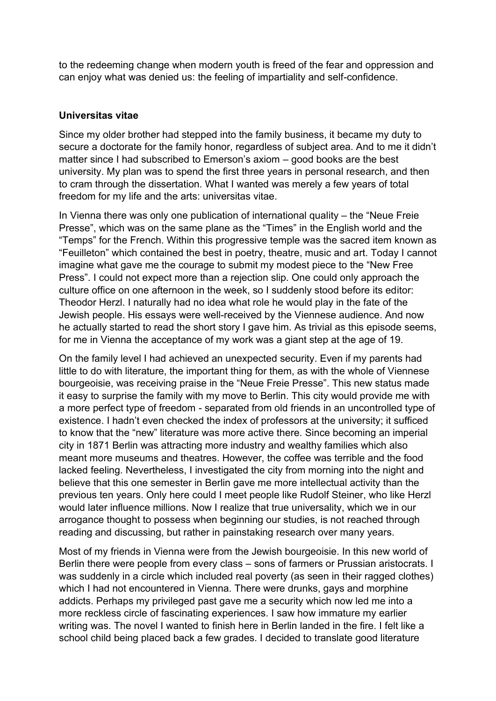to the redeeming change when modern youth is freed of the fear and oppression and can enjoy what was denied us: the feeling of impartiality and self-confidence.

#### **Universitas vitae**

Since my older brother had stepped into the family business, it became my duty to secure a doctorate for the family honor, regardless of subject area. And to me it didn't matter since I had subscribed to Emerson's axiom – good books are the best university. My plan was to spend the first three years in personal research, and then to cram through the dissertation. What I wanted was merely a few years of total freedom for my life and the arts: universitas vitae.

In Vienna there was only one publication of international quality – the "Neue Freie Presse", which was on the same plane as the "Times" in the English world and the "Temps" for the French. Within this progressive temple was the sacred item known as "Feuilleton" which contained the best in poetry, theatre, music and art. Today I cannot imagine what gave me the courage to submit my modest piece to the "New Free Press". I could not expect more than a rejection slip. One could only approach the culture office on one afternoon in the week, so I suddenly stood before its editor: Theodor Herzl. I naturally had no idea what role he would play in the fate of the Jewish people. His essays were well-received by the Viennese audience. And now he actually started to read the short story I gave him. As trivial as this episode seems, for me in Vienna the acceptance of my work was a giant step at the age of 19.

On the family level I had achieved an unexpected security. Even if my parents had little to do with literature, the important thing for them, as with the whole of Viennese bourgeoisie, was receiving praise in the "Neue Freie Presse". This new status made it easy to surprise the family with my move to Berlin. This city would provide me with a more perfect type of freedom - separated from old friends in an uncontrolled type of existence. I hadn't even checked the index of professors at the university; it sufficed to know that the "new" literature was more active there. Since becoming an imperial city in 1871 Berlin was attracting more industry and wealthy families which also meant more museums and theatres. However, the coffee was terrible and the food lacked feeling. Nevertheless, I investigated the city from morning into the night and believe that this one semester in Berlin gave me more intellectual activity than the previous ten years. Only here could I meet people like Rudolf Steiner, who like Herzl would later influence millions. Now I realize that true universality, which we in our arrogance thought to possess when beginning our studies, is not reached through reading and discussing, but rather in painstaking research over many years.

Most of my friends in Vienna were from the Jewish bourgeoisie. In this new world of Berlin there were people from every class – sons of farmers or Prussian aristocrats. I was suddenly in a circle which included real poverty (as seen in their ragged clothes) which I had not encountered in Vienna. There were drunks, gays and morphine addicts. Perhaps my privileged past gave me a security which now led me into a more reckless circle of fascinating experiences. I saw how immature my earlier writing was. The novel I wanted to finish here in Berlin landed in the fire. I felt like a school child being placed back a few grades. I decided to translate good literature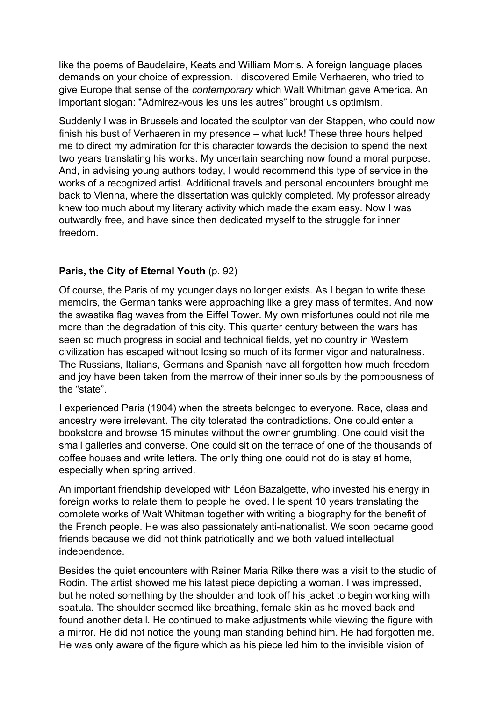like the poems of Baudelaire, Keats and William Morris. A foreign language places demands on your choice of expression. I discovered Emile Verhaeren, who tried to give Europe that sense of the *contemporary* which Walt Whitman gave America. An important slogan: "Admirez-vous les uns les autres" brought us optimism.

Suddenly I was in Brussels and located the sculptor van der Stappen, who could now finish his bust of Verhaeren in my presence – what luck! These three hours helped me to direct my admiration for this character towards the decision to spend the next two years translating his works. My uncertain searching now found a moral purpose. And, in advising young authors today, I would recommend this type of service in the works of a recognized artist. Additional travels and personal encounters brought me back to Vienna, where the dissertation was quickly completed. My professor already knew too much about my literary activity which made the exam easy. Now I was outwardly free, and have since then dedicated myself to the struggle for inner freedom.

#### **Paris, the City of Eternal Youth** (p. 92)

Of course, the Paris of my younger days no longer exists. As I began to write these memoirs, the German tanks were approaching like a grey mass of termites. And now the swastika flag waves from the Eiffel Tower. My own misfortunes could not rile me more than the degradation of this city. This quarter century between the wars has seen so much progress in social and technical fields, yet no country in Western civilization has escaped without losing so much of its former vigor and naturalness. The Russians, Italians, Germans and Spanish have all forgotten how much freedom and joy have been taken from the marrow of their inner souls by the pompousness of the "state".

I experienced Paris (1904) when the streets belonged to everyone. Race, class and ancestry were irrelevant. The city tolerated the contradictions. One could enter a bookstore and browse 15 minutes without the owner grumbling. One could visit the small galleries and converse. One could sit on the terrace of one of the thousands of coffee houses and write letters. The only thing one could not do is stay at home, especially when spring arrived.

An important friendship developed with Léon Bazalgette, who invested his energy in foreign works to relate them to people he loved. He spent 10 years translating the complete works of Walt Whitman together with writing a biography for the benefit of the French people. He was also passionately anti-nationalist. We soon became good friends because we did not think patriotically and we both valued intellectual independence.

Besides the quiet encounters with Rainer Maria Rilke there was a visit to the studio of Rodin. The artist showed me his latest piece depicting a woman. I was impressed, but he noted something by the shoulder and took off his jacket to begin working with spatula. The shoulder seemed like breathing, female skin as he moved back and found another detail. He continued to make adjustments while viewing the figure with a mirror. He did not notice the young man standing behind him. He had forgotten me. He was only aware of the figure which as his piece led him to the invisible vision of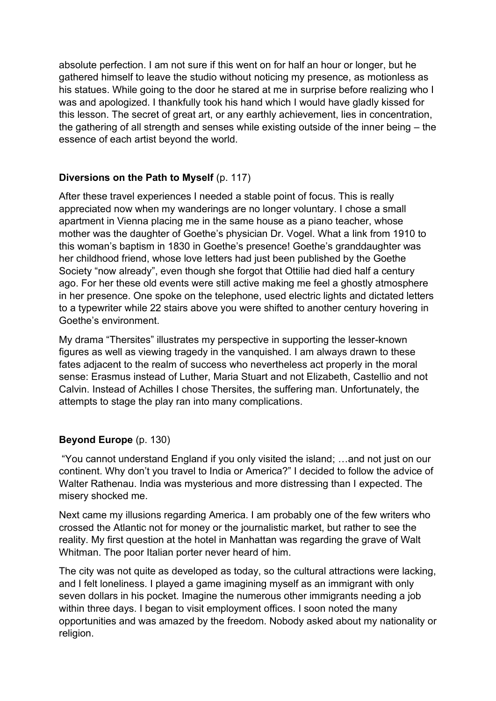absolute perfection. I am not sure if this went on for half an hour or longer, but he gathered himself to leave the studio without noticing my presence, as motionless as his statues. While going to the door he stared at me in surprise before realizing who I was and apologized. I thankfully took his hand which I would have gladly kissed for this lesson. The secret of great art, or any earthly achievement, lies in concentration, the gathering of all strength and senses while existing outside of the inner being – the essence of each artist beyond the world.

# **Diversions on the Path to Myself** (p. 117)

After these travel experiences I needed a stable point of focus. This is really appreciated now when my wanderings are no longer voluntary. I chose a small apartment in Vienna placing me in the same house as a piano teacher, whose mother was the daughter of Goethe's physician Dr. Vogel. What a link from 1910 to this woman's baptism in 1830 in Goethe's presence! Goethe's granddaughter was her childhood friend, whose love letters had just been published by the Goethe Society "now already", even though she forgot that Ottilie had died half a century ago. For her these old events were still active making me feel a ghostly atmosphere in her presence. One spoke on the telephone, used electric lights and dictated letters to a typewriter while 22 stairs above you were shifted to another century hovering in Goethe's environment.

My drama "Thersites" illustrates my perspective in supporting the lesser-known figures as well as viewing tragedy in the vanquished. I am always drawn to these fates adjacent to the realm of success who nevertheless act properly in the moral sense: Erasmus instead of Luther, Maria Stuart and not Elizabeth, Castellio and not Calvin. Instead of Achilles I chose Thersites, the suffering man. Unfortunately, the attempts to stage the play ran into many complications.

## **Beyond Europe** (p. 130)

"You cannot understand England if you only visited the island; …and not just on our continent. Why don't you travel to India or America?" I decided to follow the advice of Walter Rathenau. India was mysterious and more distressing than I expected. The misery shocked me.

Next came my illusions regarding America. I am probably one of the few writers who crossed the Atlantic not for money or the journalistic market, but rather to see the reality. My first question at the hotel in Manhattan was regarding the grave of Walt Whitman. The poor Italian porter never heard of him.

The city was not quite as developed as today, so the cultural attractions were lacking, and I felt loneliness. I played a game imagining myself as an immigrant with only seven dollars in his pocket. Imagine the numerous other immigrants needing a job within three days. I began to visit employment offices. I soon noted the many opportunities and was amazed by the freedom. Nobody asked about my nationality or religion.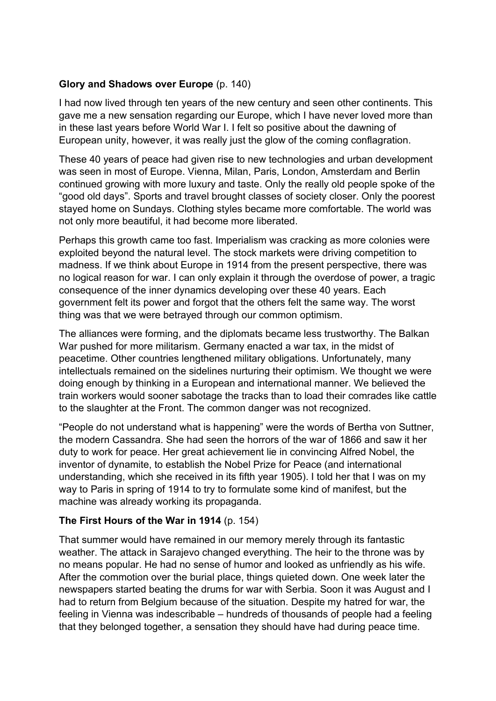## **Glory and Shadows over Europe** (p. 140)

I had now lived through ten years of the new century and seen other continents. This gave me a new sensation regarding our Europe, which I have never loved more than in these last years before World War I. I felt so positive about the dawning of European unity, however, it was really just the glow of the coming conflagration.

These 40 years of peace had given rise to new technologies and urban development was seen in most of Europe. Vienna, Milan, Paris, London, Amsterdam and Berlin continued growing with more luxury and taste. Only the really old people spoke of the "good old days". Sports and travel brought classes of society closer. Only the poorest stayed home on Sundays. Clothing styles became more comfortable. The world was not only more beautiful, it had become more liberated.

Perhaps this growth came too fast. Imperialism was cracking as more colonies were exploited beyond the natural level. The stock markets were driving competition to madness. If we think about Europe in 1914 from the present perspective, there was no logical reason for war. I can only explain it through the overdose of power, a tragic consequence of the inner dynamics developing over these 40 years. Each government felt its power and forgot that the others felt the same way. The worst thing was that we were betrayed through our common optimism.

The alliances were forming, and the diplomats became less trustworthy. The Balkan War pushed for more militarism. Germany enacted a war tax, in the midst of peacetime. Other countries lengthened military obligations. Unfortunately, many intellectuals remained on the sidelines nurturing their optimism. We thought we were doing enough by thinking in a European and international manner. We believed the train workers would sooner sabotage the tracks than to load their comrades like cattle to the slaughter at the Front. The common danger was not recognized.

"People do not understand what is happening" were the words of Bertha von Suttner, the modern Cassandra. She had seen the horrors of the war of 1866 and saw it her duty to work for peace. Her great achievement lie in convincing Alfred Nobel, the inventor of dynamite, to establish the Nobel Prize for Peace (and international understanding, which she received in its fifth year 1905). I told her that I was on my way to Paris in spring of 1914 to try to formulate some kind of manifest, but the machine was already working its propaganda.

## **The First Hours of the War in 1914** (p. 154)

That summer would have remained in our memory merely through its fantastic weather. The attack in Sarajevo changed everything. The heir to the throne was by no means popular. He had no sense of humor and looked as unfriendly as his wife. After the commotion over the burial place, things quieted down. One week later the newspapers started beating the drums for war with Serbia. Soon it was August and I had to return from Belgium because of the situation. Despite my hatred for war, the feeling in Vienna was indescribable – hundreds of thousands of people had a feeling that they belonged together, a sensation they should have had during peace time.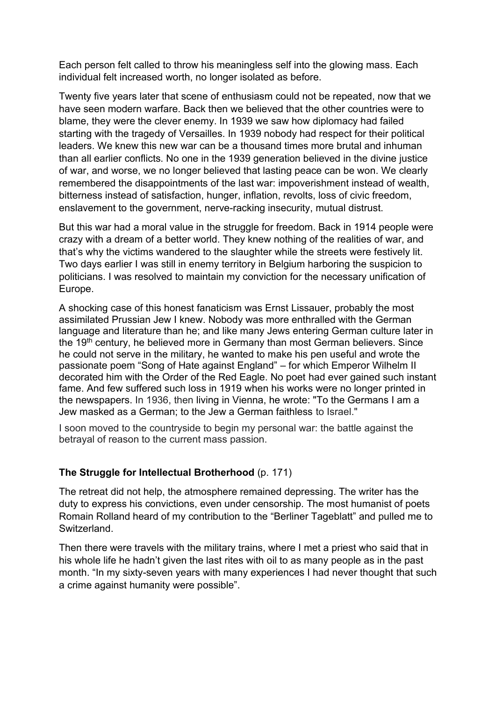Each person felt called to throw his meaningless self into the glowing mass. Each individual felt increased worth, no longer isolated as before.

Twenty five years later that scene of enthusiasm could not be repeated, now that we have seen modern warfare. Back then we believed that the other countries were to blame, they were the clever enemy. In 1939 we saw how diplomacy had failed starting with the tragedy of Versailles. In 1939 nobody had respect for their political leaders. We knew this new war can be a thousand times more brutal and inhuman than all earlier conflicts. No one in the 1939 generation believed in the divine justice of war, and worse, we no longer believed that lasting peace can be won. We clearly remembered the disappointments of the last war: impoverishment instead of wealth, bitterness instead of satisfaction, hunger, inflation, revolts, loss of civic freedom, enslavement to the government, nerve-racking insecurity, mutual distrust.

But this war had a moral value in the struggle for freedom. Back in 1914 people were crazy with a dream of a better world. They knew nothing of the realities of war, and that's why the victims wandered to the slaughter while the streets were festively lit. Two days earlier I was still in enemy territory in Belgium harboring the suspicion to politicians. I was resolved to maintain my conviction for the necessary unification of Europe.

A shocking case of this honest fanaticism was Ernst Lissauer, probably the most assimilated Prussian Jew I knew. Nobody was more enthralled with the German language and literature than he; and like many Jews entering German culture later in the 19<sup>th</sup> century, he believed more in Germany than most German believers. Since he could not serve in the military, he wanted to make his pen useful and wrote the passionate poem "Song of Hate against England" – for which Emperor Wilhelm II decorated him with the Order of the Red Eagle. No poet had ever gained such instant fame. And few suffered such loss in 1919 when his works were no longer printed in the newspapers. In 1936, then living in [Vienna,](https://en.wikipedia.org/wiki/Vienna) he wrote: "To the Germans I am a Jew masked as a German; to the Jew a German faithless to Israel."

I soon moved to the countryside to begin my personal war: the battle against the betrayal of reason to the current mass passion.

## **The Struggle for Intellectual Brotherhood** (p. 171)

The retreat did not help, the atmosphere remained depressing. The writer has the duty to express his convictions, even under censorship. The most humanist of poets Romain Rolland heard of my contribution to the "Berliner Tageblatt" and pulled me to Switzerland.

Then there were travels with the military trains, where I met a priest who said that in his whole life he hadn't given the last rites with oil to as many people as in the past month. "In my sixty-seven years with many experiences I had never thought that such a crime against humanity were possible".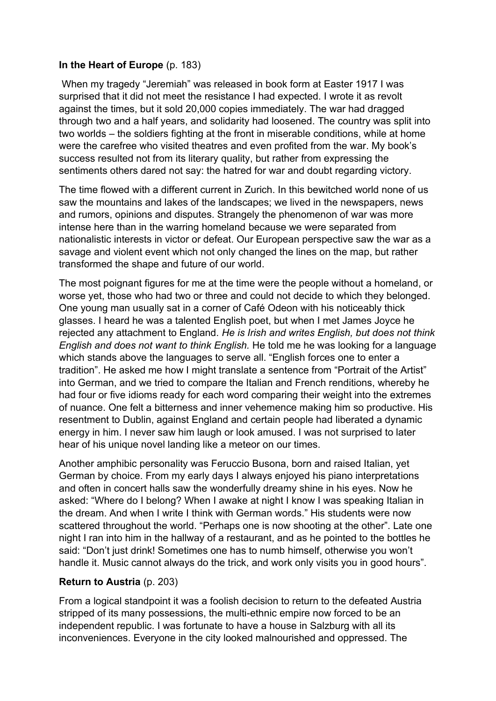#### **In the Heart of Europe** (p. 183)

When my tragedy "Jeremiah" was released in book form at Easter 1917 I was surprised that it did not meet the resistance I had expected. I wrote it as revolt against the times, but it sold 20,000 copies immediately. The war had dragged through two and a half years, and solidarity had loosened. The country was split into two worlds – the soldiers fighting at the front in miserable conditions, while at home were the carefree who visited theatres and even profited from the war. My book's success resulted not from its literary quality, but rather from expressing the sentiments others dared not say: the hatred for war and doubt regarding victory.

The time flowed with a different current in Zurich. In this bewitched world none of us saw the mountains and lakes of the landscapes; we lived in the newspapers, news and rumors, opinions and disputes. Strangely the phenomenon of war was more intense here than in the warring homeland because we were separated from nationalistic interests in victor or defeat. Our European perspective saw the war as a savage and violent event which not only changed the lines on the map, but rather transformed the shape and future of our world.

The most poignant figures for me at the time were the people without a homeland, or worse yet, those who had two or three and could not decide to which they belonged. One young man usually sat in a corner of Café Odeon with his noticeably thick glasses. I heard he was a talented English poet, but when I met James Joyce he rejected any attachment to England. *He is Irish and writes English, but does not think English and does not want to think English.* He told me he was looking for a language which stands above the languages to serve all. "English forces one to enter a tradition". He asked me how I might translate a sentence from "Portrait of the Artist" into German, and we tried to compare the Italian and French renditions, whereby he had four or five idioms ready for each word comparing their weight into the extremes of nuance. One felt a bitterness and inner vehemence making him so productive. His resentment to Dublin, against England and certain people had liberated a dynamic energy in him. I never saw him laugh or look amused. I was not surprised to later hear of his unique novel landing like a meteor on our times.

Another amphibic personality was Feruccio Busona, born and raised Italian, yet German by choice. From my early days I always enjoyed his piano interpretations and often in concert halls saw the wonderfully dreamy shine in his eyes. Now he asked: "Where do I belong? When I awake at night I know I was speaking Italian in the dream. And when I write I think with German words." His students were now scattered throughout the world. "Perhaps one is now shooting at the other". Late one night I ran into him in the hallway of a restaurant, and as he pointed to the bottles he said: "Don't just drink! Sometimes one has to numb himself, otherwise you won't handle it. Music cannot always do the trick, and work only visits you in good hours".

## **Return to Austria** (p. 203)

From a logical standpoint it was a foolish decision to return to the defeated Austria stripped of its many possessions, the multi-ethnic empire now forced to be an independent republic. I was fortunate to have a house in Salzburg with all its inconveniences. Everyone in the city looked malnourished and oppressed. The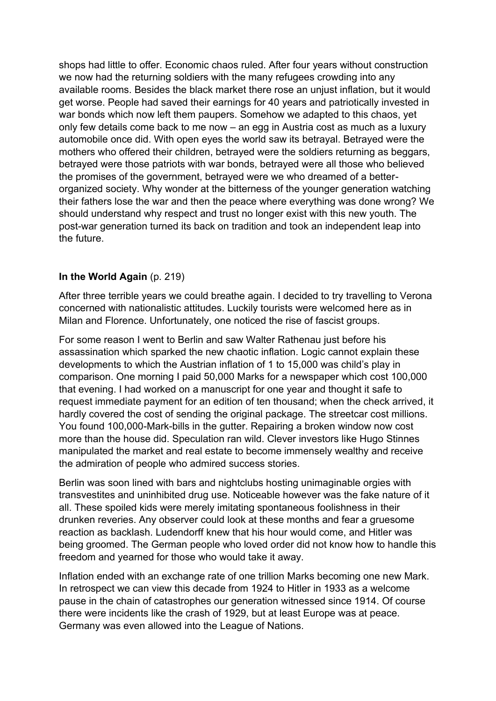shops had little to offer. Economic chaos ruled. After four years without construction we now had the returning soldiers with the many refugees crowding into any available rooms. Besides the black market there rose an unjust inflation, but it would get worse. People had saved their earnings for 40 years and patriotically invested in war bonds which now left them paupers. Somehow we adapted to this chaos, yet only few details come back to me now – an egg in Austria cost as much as a luxury automobile once did. With open eyes the world saw its betrayal. Betrayed were the mothers who offered their children, betrayed were the soldiers returning as beggars, betrayed were those patriots with war bonds, betrayed were all those who believed the promises of the government, betrayed were we who dreamed of a betterorganized society. Why wonder at the bitterness of the younger generation watching their fathers lose the war and then the peace where everything was done wrong? We should understand why respect and trust no longer exist with this new youth. The post-war generation turned its back on tradition and took an independent leap into the future.

#### **In the World Again** (p. 219)

After three terrible years we could breathe again. I decided to try travelling to Verona concerned with nationalistic attitudes. Luckily tourists were welcomed here as in Milan and Florence. Unfortunately, one noticed the rise of fascist groups.

For some reason I went to Berlin and saw Walter Rathenau just before his assassination which sparked the new chaotic inflation. Logic cannot explain these developments to which the Austrian inflation of 1 to 15,000 was child's play in comparison. One morning I paid 50,000 Marks for a newspaper which cost 100,000 that evening. I had worked on a manuscript for one year and thought it safe to request immediate payment for an edition of ten thousand; when the check arrived, it hardly covered the cost of sending the original package. The streetcar cost millions. You found 100,000-Mark-bills in the gutter. Repairing a broken window now cost more than the house did. Speculation ran wild. Clever investors like Hugo Stinnes manipulated the market and real estate to become immensely wealthy and receive the admiration of people who admired success stories.

Berlin was soon lined with bars and nightclubs hosting unimaginable orgies with transvestites and uninhibited drug use. Noticeable however was the fake nature of it all. These spoiled kids were merely imitating spontaneous foolishness in their drunken reveries. Any observer could look at these months and fear a gruesome reaction as backlash. Ludendorff knew that his hour would come, and Hitler was being groomed. The German people who loved order did not know how to handle this freedom and yearned for those who would take it away.

Inflation ended with an exchange rate of one trillion Marks becoming one new Mark. In retrospect we can view this decade from 1924 to Hitler in 1933 as a welcome pause in the chain of catastrophes our generation witnessed since 1914. Of course there were incidents like the crash of 1929, but at least Europe was at peace. Germany was even allowed into the League of Nations.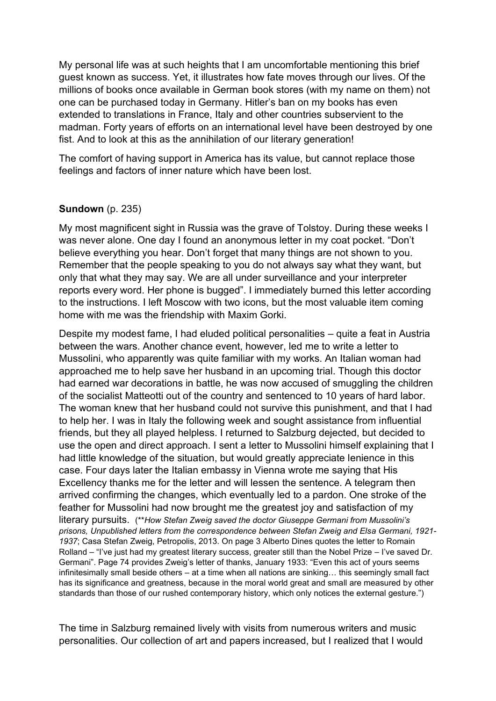My personal life was at such heights that I am uncomfortable mentioning this brief guest known as success. Yet, it illustrates how fate moves through our lives. Of the millions of books once available in German book stores (with my name on them) not one can be purchased today in Germany. Hitler's ban on my books has even extended to translations in France, Italy and other countries subservient to the madman. Forty years of efforts on an international level have been destroyed by one fist. And to look at this as the annihilation of our literary generation!

The comfort of having support in America has its value, but cannot replace those feelings and factors of inner nature which have been lost.

#### **Sundown** (p. 235)

My most magnificent sight in Russia was the grave of Tolstoy. During these weeks I was never alone. One day I found an anonymous letter in my coat pocket. "Don't believe everything you hear. Don't forget that many things are not shown to you. Remember that the people speaking to you do not always say what they want, but only that what they may say. We are all under surveillance and your interpreter reports every word. Her phone is bugged". I immediately burned this letter according to the instructions. I left Moscow with two icons, but the most valuable item coming home with me was the friendship with Maxim Gorki.

Despite my modest fame, I had eluded political personalities – quite a feat in Austria between the wars. Another chance event, however, led me to write a letter to Mussolini, who apparently was quite familiar with my works. An Italian woman had approached me to help save her husband in an upcoming trial. Though this doctor had earned war decorations in battle, he was now accused of smuggling the children of the socialist Matteotti out of the country and sentenced to 10 years of hard labor. The woman knew that her husband could not survive this punishment, and that I had to help her. I was in Italy the following week and sought assistance from influential friends, but they all played helpless. I returned to Salzburg dejected, but decided to use the open and direct approach. I sent a letter to Mussolini himself explaining that I had little knowledge of the situation, but would greatly appreciate lenience in this case. Four days later the Italian embassy in Vienna wrote me saying that His Excellency thanks me for the letter and will lessen the sentence. A telegram then arrived confirming the changes, which eventually led to a pardon. One stroke of the feather for Mussolini had now brought me the greatest joy and satisfaction of my literary pursuits. (\*\**How Stefan Zweig saved the doctor Giuseppe Germani from Mussolini's prisons, Unpublished letters from the correspondence between Stefan Zweig and Elsa Germani, 1921- 1937*; Casa Stefan Zweig, Petropolis, 2013. On page 3 Alberto Dines quotes the letter to Romain Rolland – "I've just had my greatest literary success, greater still than the Nobel Prize – I've saved Dr. Germani". Page 74 provides Zweig's letter of thanks, January 1933: "Even this act of yours seems infinitesimally small beside others – at a time when all nations are sinking… this seemingly small fact has its significance and greatness, because in the moral world great and small are measured by other standards than those of our rushed contemporary history, which only notices the external gesture.")

The time in Salzburg remained lively with visits from numerous writers and music personalities. Our collection of art and papers increased, but I realized that I would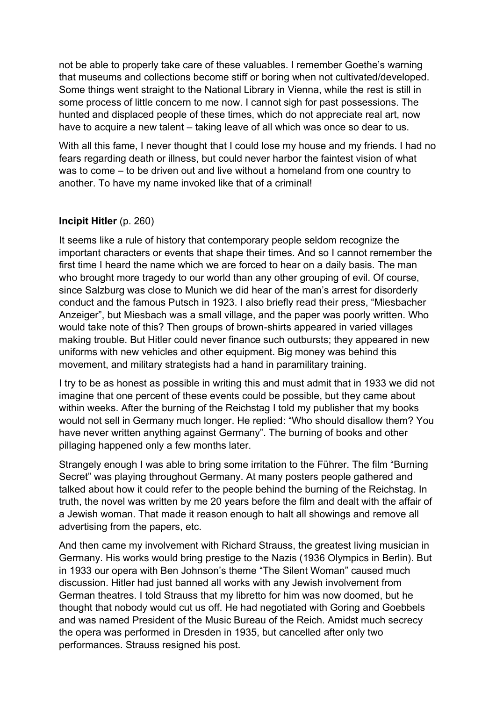not be able to properly take care of these valuables. I remember Goethe's warning that museums and collections become stiff or boring when not cultivated/developed. Some things went straight to the National Library in Vienna, while the rest is still in some process of little concern to me now. I cannot sigh for past possessions. The hunted and displaced people of these times, which do not appreciate real art, now have to acquire a new talent – taking leave of all which was once so dear to us.

With all this fame, I never thought that I could lose my house and my friends. I had no fears regarding death or illness, but could never harbor the faintest vision of what was to come – to be driven out and live without a homeland from one country to another. To have my name invoked like that of a criminal!

## **Incipit Hitler** (p. 260)

It seems like a rule of history that contemporary people seldom recognize the important characters or events that shape their times. And so I cannot remember the first time I heard the name which we are forced to hear on a daily basis. The man who brought more tragedy to our world than any other grouping of evil. Of course, since Salzburg was close to Munich we did hear of the man's arrest for disorderly conduct and the famous Putsch in 1923. I also briefly read their press, "Miesbacher Anzeiger", but Miesbach was a small village, and the paper was poorly written. Who would take note of this? Then groups of brown-shirts appeared in varied villages making trouble. But Hitler could never finance such outbursts; they appeared in new uniforms with new vehicles and other equipment. Big money was behind this movement, and military strategists had a hand in paramilitary training.

I try to be as honest as possible in writing this and must admit that in 1933 we did not imagine that one percent of these events could be possible, but they came about within weeks. After the burning of the Reichstag I told my publisher that my books would not sell in Germany much longer. He replied: "Who should disallow them? You have never written anything against Germany". The burning of books and other pillaging happened only a few months later.

Strangely enough I was able to bring some irritation to the Führer. The film "Burning Secret" was playing throughout Germany. At many posters people gathered and talked about how it could refer to the people behind the burning of the Reichstag. In truth, the novel was written by me 20 years before the film and dealt with the affair of a Jewish woman. That made it reason enough to halt all showings and remove all advertising from the papers, etc.

And then came my involvement with Richard Strauss, the greatest living musician in Germany. His works would bring prestige to the Nazis (1936 Olympics in Berlin). But in 1933 our opera with Ben Johnson's theme "The Silent Woman" caused much discussion. Hitler had just banned all works with any Jewish involvement from German theatres. I told Strauss that my libretto for him was now doomed, but he thought that nobody would cut us off. He had negotiated with Goring and Goebbels and was named President of the Music Bureau of the Reich. Amidst much secrecy the opera was performed in Dresden in 1935, but cancelled after only two performances. Strauss resigned his post.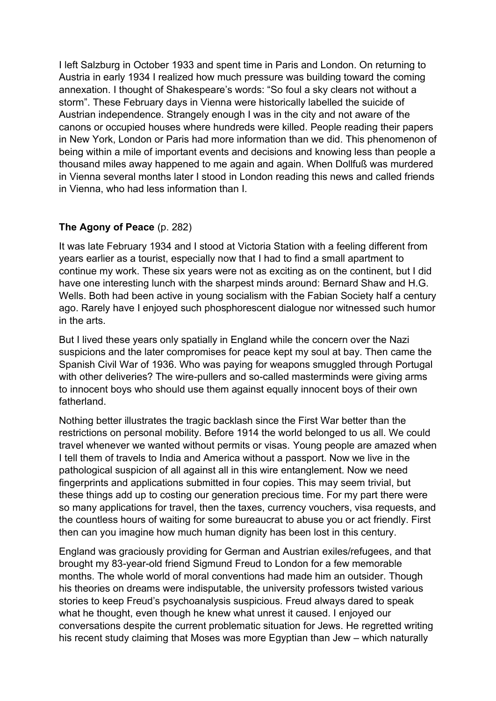I left Salzburg in October 1933 and spent time in Paris and London. On returning to Austria in early 1934 I realized how much pressure was building toward the coming annexation. I thought of Shakespeare's words: "So foul a sky clears not without a storm". These February days in Vienna were historically labelled the suicide of Austrian independence. Strangely enough I was in the city and not aware of the canons or occupied houses where hundreds were killed. People reading their papers in New York, London or Paris had more information than we did. This phenomenon of being within a mile of important events and decisions and knowing less than people a thousand miles away happened to me again and again. When Dollfuß was murdered in Vienna several months later I stood in London reading this news and called friends in Vienna, who had less information than I.

# **The Agony of Peace** (p. 282)

It was late February 1934 and I stood at Victoria Station with a feeling different from years earlier as a tourist, especially now that I had to find a small apartment to continue my work. These six years were not as exciting as on the continent, but I did have one interesting lunch with the sharpest minds around: Bernard Shaw and H.G. Wells. Both had been active in young socialism with the Fabian Society half a century ago. Rarely have I enjoyed such phosphorescent dialogue nor witnessed such humor in the arts.

But I lived these years only spatially in England while the concern over the Nazi suspicions and the later compromises for peace kept my soul at bay. Then came the Spanish Civil War of 1936. Who was paying for weapons smuggled through Portugal with other deliveries? The wire-pullers and so-called masterminds were giving arms to innocent boys who should use them against equally innocent boys of their own fatherland.

Nothing better illustrates the tragic backlash since the First War better than the restrictions on personal mobility. Before 1914 the world belonged to us all. We could travel whenever we wanted without permits or visas. Young people are amazed when I tell them of travels to India and America without a passport. Now we live in the pathological suspicion of all against all in this wire entanglement. Now we need fingerprints and applications submitted in four copies. This may seem trivial, but these things add up to costing our generation precious time. For my part there were so many applications for travel, then the taxes, currency vouchers, visa requests, and the countless hours of waiting for some bureaucrat to abuse you or act friendly. First then can you imagine how much human dignity has been lost in this century.

England was graciously providing for German and Austrian exiles/refugees, and that brought my 83-year-old friend Sigmund Freud to London for a few memorable months. The whole world of moral conventions had made him an outsider. Though his theories on dreams were indisputable, the university professors twisted various stories to keep Freud's psychoanalysis suspicious. Freud always dared to speak what he thought, even though he knew what unrest it caused. I enjoyed our conversations despite the current problematic situation for Jews. He regretted writing his recent study claiming that Moses was more Egyptian than Jew – which naturally